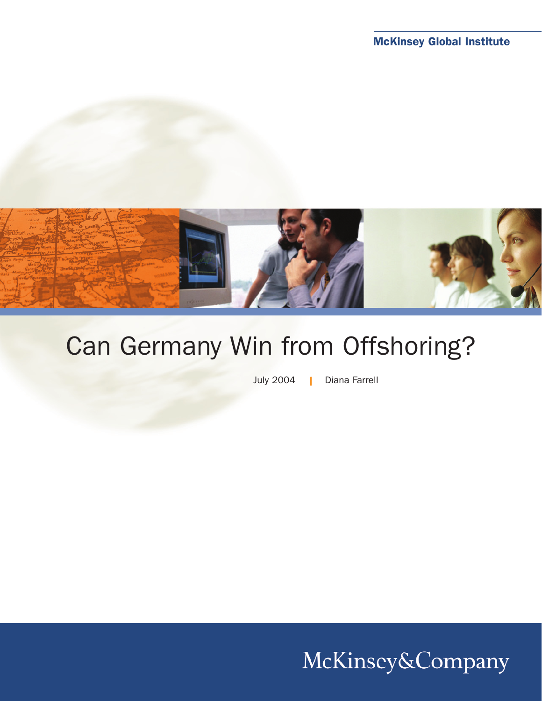

# Can Germany Win from Offshoring?

July 2004 | Diana Farrell

McKinsey&Company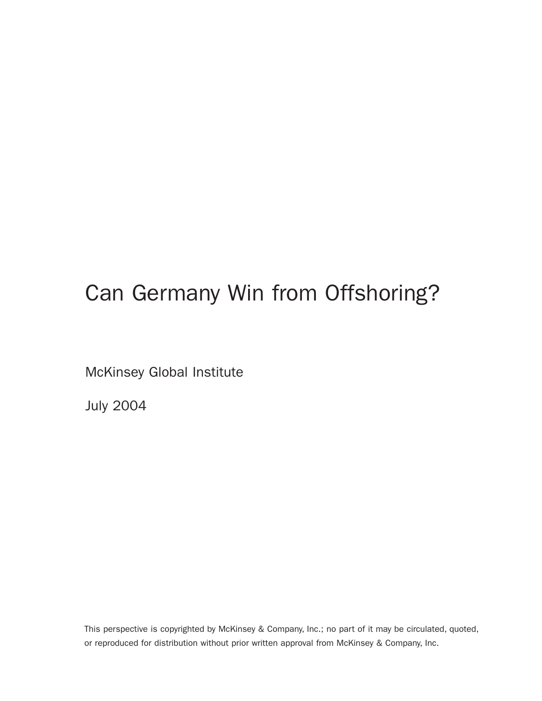# Can Germany Win from Offshoring?

McKinsey Global Institute

July 2004

This perspective is copyrighted by McKinsey & Company, Inc.; no part of it may be circulated, quoted, or reproduced for distribution without prior written approval from McKinsey & Company, Inc.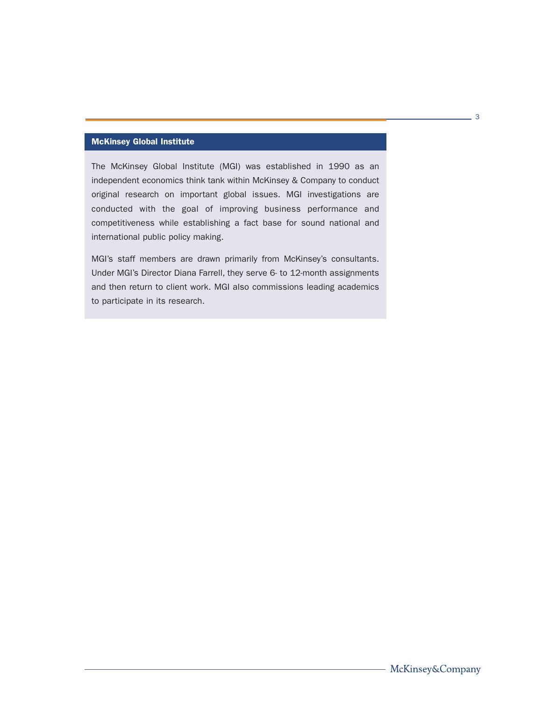## McKinsey Global Institute

The McKinsey Global Institute (MGI) was established in 1990 as an independent economics think tank within McKinsey & Company to conduct original research on important global issues. MGI investigations are conducted with the goal of improving business performance and competitiveness while establishing a fact base for sound national and international public policy making.

MGI's staff members are drawn primarily from McKinsey's consultants. Under MGI's Director Diana Farrell, they serve 6- to 12-month assignments and then return to client work. MGI also commissions leading academics to participate in its research.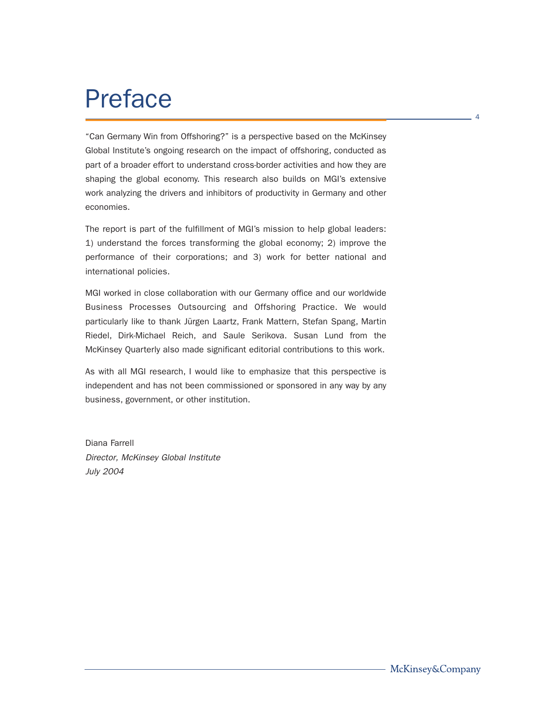# Preface

"Can Germany Win from Offshoring?" is a perspective based on the McKinsey Global Institute's ongoing research on the impact of offshoring, conducted as part of a broader effort to understand cross-border activities and how they are shaping the global economy. This research also builds on MGI's extensive work analyzing the drivers and inhibitors of productivity in Germany and other economies.

The report is part of the fulfillment of MGI's mission to help global leaders: 1) understand the forces transforming the global economy; 2) improve the performance of their corporations; and 3) work for better national and international policies.

MGI worked in close collaboration with our Germany office and our worldwide Business Processes Outsourcing and Offshoring Practice. We would particularly like to thank Jürgen Laartz, Frank Mattern, Stefan Spang, Martin Riedel, Dirk-Michael Reich, and Saule Serikova. Susan Lund from the McKinsey Quarterly also made significant editorial contributions to this work.

As with all MGI research, I would like to emphasize that this perspective is independent and has not been commissioned or sponsored in any way by any business, government, or other institution.

Diana Farrell Director, McKinsey Global Institute July 2004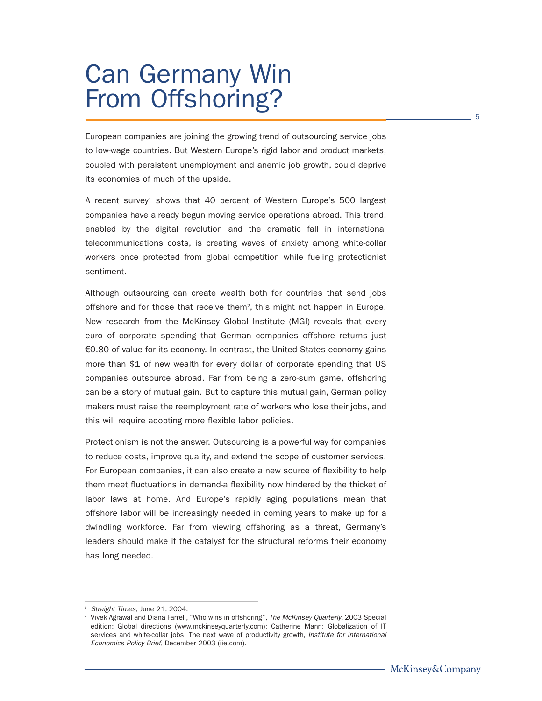# Can Germany Win From Offshoring?

European companies are joining the growing trend of outsourcing service jobs to low-wage countries. But Western Europe's rigid labor and product markets, coupled with persistent unemployment and anemic job growth, could deprive its economies of much of the upside.

A recent survey<sup>1</sup> shows that 40 percent of Western Europe's 500 largest companies have already begun moving service operations abroad. This trend, enabled by the digital revolution and the dramatic fall in international telecommunications costs, is creating waves of anxiety among white-collar workers once protected from global competition while fueling protectionist sentiment.

Although outsourcing can create wealth both for countries that send jobs offshore and for those that receive them<sup>2</sup>, this might not happen in Europe. New research from the McKinsey Global Institute (MGI) reveals that every euro of corporate spending that German companies offshore returns just €0.80 of value for its economy. In contrast, the United States economy gains more than \$1 of new wealth for every dollar of corporate spending that US companies outsource abroad. Far from being a zero-sum game, offshoring can be a story of mutual gain. But to capture this mutual gain, German policy makers must raise the reemployment rate of workers who lose their jobs, and this will require adopting more flexible labor policies.

Protectionism is not the answer. Outsourcing is a powerful way for companies to reduce costs, improve quality, and extend the scope of customer services. For European companies, it can also create a new source of flexibility to help them meet fluctuations in demand-a flexibility now hindered by the thicket of labor laws at home. And Europe's rapidly aging populations mean that offshore labor will be increasingly needed in coming years to make up for a dwindling workforce. Far from viewing offshoring as a threat, Germany's leaders should make it the catalyst for the structural reforms their economy has long needed.

 $1$  Straight Times, June 21, 2004.

<sup>2</sup> Vivek Agrawal and Diana Farrell, "Who wins in offshoring", The McKinsey Quarterly, 2003 Special edition: Global directions (www.mckinseyquarterly.com); Catherine Mann; Globalization of IT services and white-collar jobs: The next wave of productivity growth, Institute for International Economics Policy Brief, December 2003 (iie.com).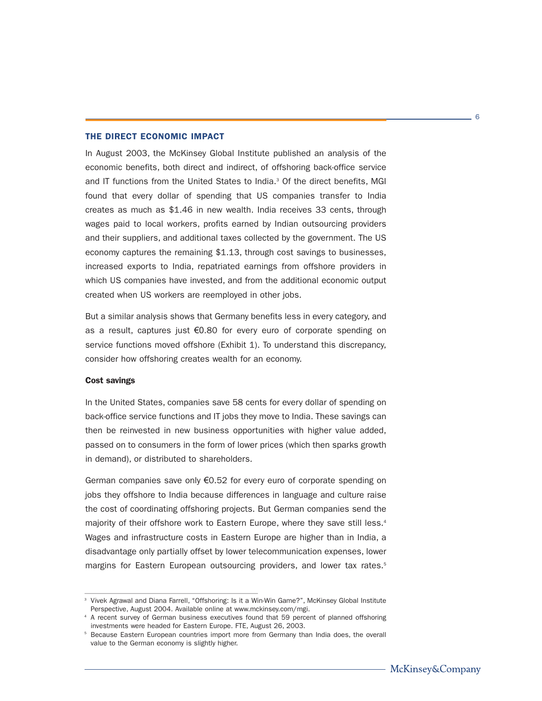### THE DIRECT ECONOMIC IMPACT

In August 2003, the McKinsey Global Institute published an analysis of the economic benefits, both direct and indirect, of offshoring back-office service and IT functions from the United States to India. $3$  Of the direct benefits, MGI found that every dollar of spending that US companies transfer to India creates as much as \$1.46 in new wealth. India receives 33 cents, through wages paid to local workers, profits earned by Indian outsourcing providers and their suppliers, and additional taxes collected by the government. The US economy captures the remaining \$1.13, through cost savings to businesses, increased exports to India, repatriated earnings from offshore providers in which US companies have invested, and from the additional economic output created when US workers are reemployed in other jobs.

But a similar analysis shows that Germany benefits less in every category, and as a result, captures just €0.80 for every euro of corporate spending on service functions moved offshore (Exhibit 1). To understand this discrepancy, consider how offshoring creates wealth for an economy.

#### Cost savings

In the United States, companies save 58 cents for every dollar of spending on back-office service functions and IT jobs they move to India. These savings can then be reinvested in new business opportunities with higher value added, passed on to consumers in the form of lower prices (which then sparks growth in demand), or distributed to shareholders.

German companies save only €0.52 for every euro of corporate spending on jobs they offshore to India because differences in language and culture raise the cost of coordinating offshoring projects. But German companies send the majority of their offshore work to Eastern Europe, where they save still less.<sup>4</sup> Wages and infrastructure costs in Eastern Europe are higher than in India, a disadvantage only partially offset by lower telecommunication expenses, lower margins for Eastern European outsourcing providers, and lower tax rates.<sup>5</sup>

<sup>&</sup>lt;sup>3</sup> Vivek Agrawal and Diana Farrell, "Offshoring: Is it a Win-Win Game?", McKinsey Global Institute Perspective, August 2004. Available online at www.mckinsey.com/mgi.

<sup>&</sup>lt;sup>4</sup> A recent survey of German business executives found that 59 percent of planned offshoring investments were headed for Eastern Europe. FTE, August 26, 2003.

<sup>&</sup>lt;sup>5</sup> Because Eastern European countries import more from Germany than India does, the overall value to the German economy is slightly higher.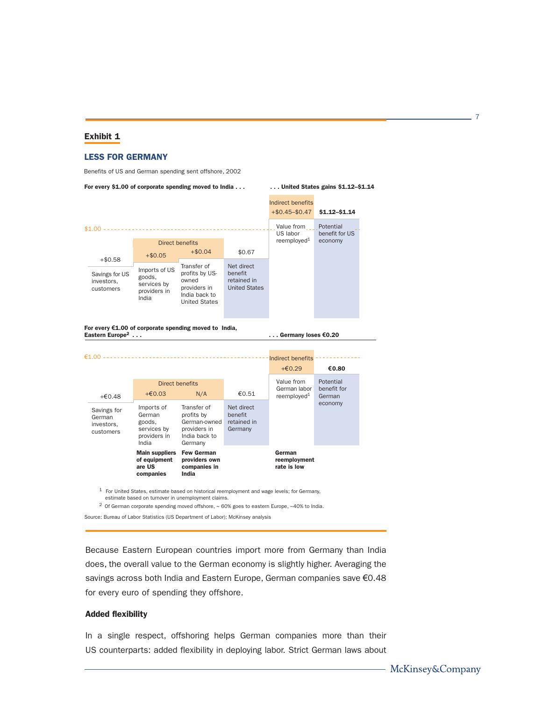### Exhibit 1

#### **LESS FOR GERMANY**

Benefits of US and German spending sent offshore, 2002

 $+€0.48$   $+€0.03$  N/A  $€0.51$  $+60.29$   $+0.80$ **Main suppliers** of equipment are US companies **Few German** providers own companies in  $India$ Value from German labor reemployed<sup>1</sup> German  ${\sf reemptyment}$ rate is low  $+ $0.58$ Direct benefits Potential benefit for US economy Potential benefit for German economy Savings for US investors, customers Savings for German investors, customers Imports of US goods, services by providers in India Imports of German goods, services by providers in India Transfer of profits by USowned providers in India back to United States Transfer of profits by German-owned providers in India back to Germany Net direct benefit retained in **United States** Net direct benefit retained in Germany  $+ $0.05$   $+ $0.04$  \$0.67  $+$ \$0.45-\$0.47 **\$1.12-\$1.14** Indirect benefits Direct benefits Indirect benefits Value from US labor reemployed<sup>1</sup> For every \$1.00 of corporate spending moved to India . . . . . . . . United States gains \$1.12-\$1.14 For every €1.00 of corporate spending moved to India, **Eastern E ... Germany loses €0.20**  $$1.00 --$ €1.00 - - - -

 $1$  For United States, estimate based on historical reemployment and wage levels; for Germany, estimate based on turnover in unemployment claims.

<sup>2</sup> Of German corporate spending moved offshore,  $\sim$  60% goes to eastern Europe,  $\sim$ 40% to India.

Source: Bureau of Labor Statistics (US Department of Labor); McKinsey analysis

Because Eastern European countries import more from Germany than India does, the overall value to the German economy is slightly higher. Averaging the savings across both India and Eastern Europe, German companies save €0.48 for every euro of spending they offshore.

#### Added flexibility

In a single respect, offshoring helps German companies more than their US counterparts: added flexibility in deploying labor. Strict German laws about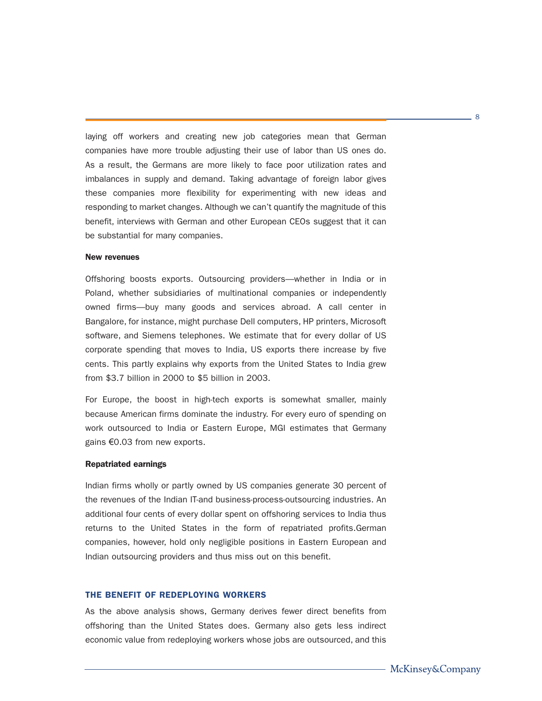laying off workers and creating new job categories mean that German companies have more trouble adjusting their use of labor than US ones do. As a result, the Germans are more likely to face poor utilization rates and imbalances in supply and demand. Taking advantage of foreign labor gives these companies more flexibility for experimenting with new ideas and responding to market changes. Although we can't quantify the magnitude of this benefit, interviews with German and other European CEOs suggest that it can be substantial for many companies.

#### New revenues

Offshoring boosts exports. Outsourcing providers—whether in India or in Poland, whether subsidiaries of multinational companies or independently owned firms—buy many goods and services abroad. A call center in Bangalore, for instance, might purchase Dell computers, HP printers, Microsoft software, and Siemens telephones. We estimate that for every dollar of US corporate spending that moves to India, US exports there increase by five cents. This partly explains why exports from the United States to India grew from \$3.7 billion in 2000 to \$5 billion in 2003.

For Europe, the boost in high-tech exports is somewhat smaller, mainly because American firms dominate the industry. For every euro of spending on work outsourced to India or Eastern Europe, MGI estimates that Germany gains €0.03 from new exports.

#### Repatriated earnings

Indian firms wholly or partly owned by US companies generate 30 percent of the revenues of the Indian IT-and business-process-outsourcing industries. An additional four cents of every dollar spent on offshoring services to India thus returns to the United States in the form of repatriated profits.German companies, however, hold only negligible positions in Eastern European and Indian outsourcing providers and thus miss out on this benefit.

### THE BENEFIT OF REDEPLOYING WORKERS

As the above analysis shows, Germany derives fewer direct benefits from offshoring than the United States does. Germany also gets less indirect economic value from redeploying workers whose jobs are outsourced, and this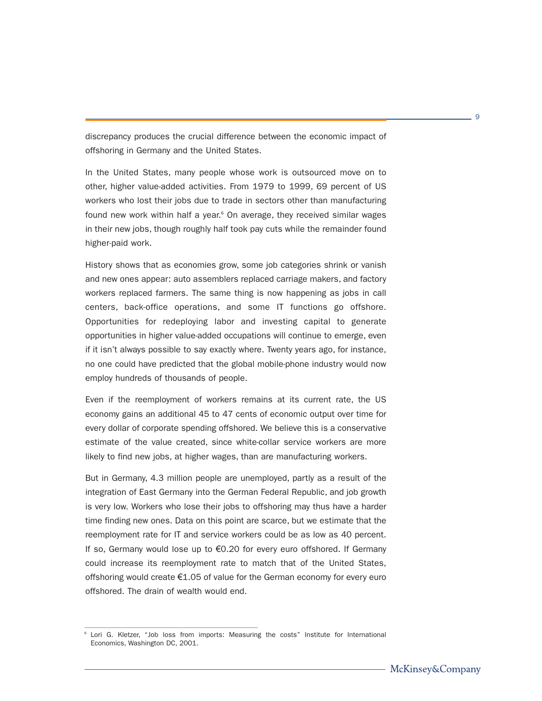discrepancy produces the crucial difference between the economic impact of offshoring in Germany and the United States.

In the United States, many people whose work is outsourced move on to other, higher value-added activities. From 1979 to 1999, 69 percent of US workers who lost their jobs due to trade in sectors other than manufacturing found new work within half a year.<sup>6</sup> On average, they received similar wages in their new jobs, though roughly half took pay cuts while the remainder found higher-paid work.

History shows that as economies grow, some job categories shrink or vanish and new ones appear: auto assemblers replaced carriage makers, and factory workers replaced farmers. The same thing is now happening as jobs in call centers, back-office operations, and some IT functions go offshore. Opportunities for redeploying labor and investing capital to generate opportunities in higher value-added occupations will continue to emerge, even if it isn't always possible to say exactly where. Twenty years ago, for instance, no one could have predicted that the global mobile-phone industry would now employ hundreds of thousands of people.

Even if the reemployment of workers remains at its current rate, the US economy gains an additional 45 to 47 cents of economic output over time for every dollar of corporate spending offshored. We believe this is a conservative estimate of the value created, since white-collar service workers are more likely to find new jobs, at higher wages, than are manufacturing workers.

But in Germany, 4.3 million people are unemployed, partly as a result of the integration of East Germany into the German Federal Republic, and job growth is very low. Workers who lose their jobs to offshoring may thus have a harder time finding new ones. Data on this point are scarce, but we estimate that the reemployment rate for IT and service workers could be as low as 40 percent. If so, Germany would lose up to €0.20 for every euro offshored. If Germany could increase its reemployment rate to match that of the United States, offshoring would create €1.05 of value for the German economy for every euro offshored. The drain of wealth would end.

Lori G. Kletzer, "Job loss from imports: Measuring the costs" Institute for International Economics, Washington DC, 2001.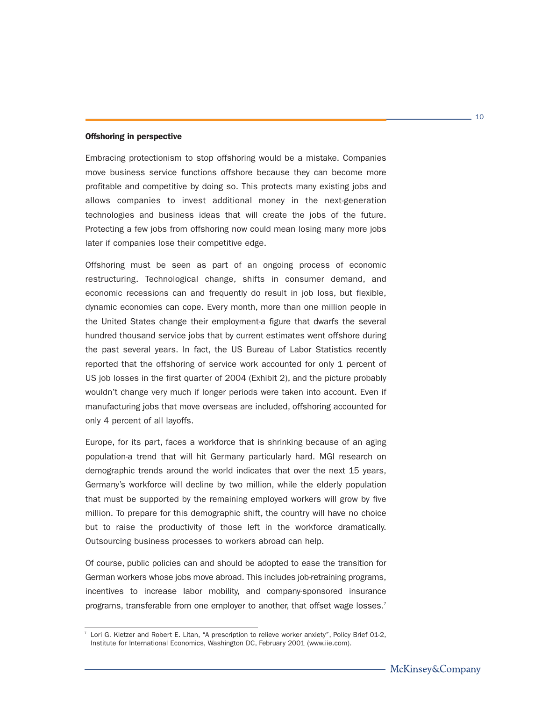#### Offshoring in perspective

Embracing protectionism to stop offshoring would be a mistake. Companies move business service functions offshore because they can become more profitable and competitive by doing so. This protects many existing jobs and allows companies to invest additional money in the next-generation technologies and business ideas that will create the jobs of the future. Protecting a few jobs from offshoring now could mean losing many more jobs later if companies lose their competitive edge.

Offshoring must be seen as part of an ongoing process of economic restructuring. Technological change, shifts in consumer demand, and economic recessions can and frequently do result in job loss, but flexible, dynamic economies can cope. Every month, more than one million people in the United States change their employment-a figure that dwarfs the several hundred thousand service jobs that by current estimates went offshore during the past several years. In fact, the US Bureau of Labor Statistics recently reported that the offshoring of service work accounted for only 1 percent of US job losses in the first quarter of 2004 (Exhibit 2), and the picture probably wouldn't change very much if longer periods were taken into account. Even if manufacturing jobs that move overseas are included, offshoring accounted for only 4 percent of all layoffs.

Europe, for its part, faces a workforce that is shrinking because of an aging population-a trend that will hit Germany particularly hard. MGI research on demographic trends around the world indicates that over the next 15 years, Germany's workforce will decline by two million, while the elderly population that must be supported by the remaining employed workers will grow by five million. To prepare for this demographic shift, the country will have no choice but to raise the productivity of those left in the workforce dramatically. Outsourcing business processes to workers abroad can help.

Of course, public policies can and should be adopted to ease the transition for German workers whose jobs move abroad. This includes job-retraining programs, incentives to increase labor mobility, and company-sponsored insurance programs, transferable from one employer to another, that offset wage losses.<sup>7</sup>

 $7$  Lori G. Kletzer and Robert E. Litan, "A prescription to relieve worker anxiety", Policy Brief 01-2, Institute for International Economics, Washington DC, February 2001 (www.iie.com).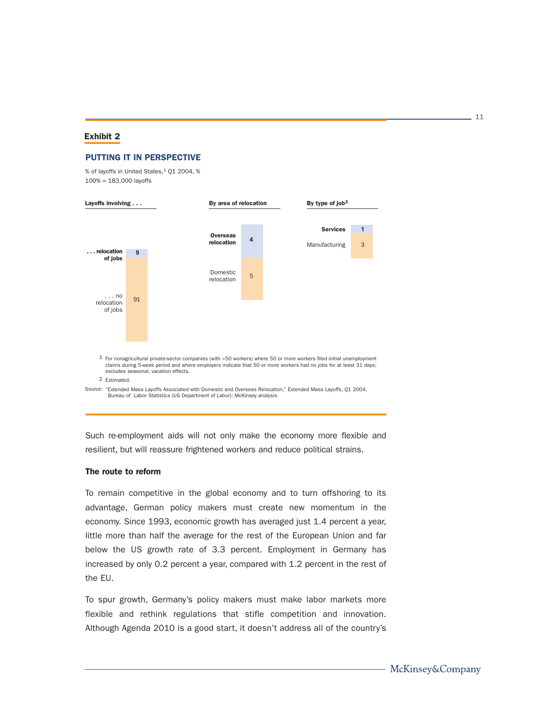### Exhibit 2

#### **PUTTING IT IN PERSPECTIVE**

% of layoffs in United States,<sup>1</sup> Q1 2004, %  $100\% = 183,000$  layoffs



Such re-employment aids will not only make the economy more flexible and resilient, but will reassure frightened workers and reduce political strains.

### The route to reform

To remain competitive in the global economy and to turn offshoring to its advantage, German policy makers must create new momentum in the economy. Since 1993, economic growth has averaged just 1.4 percent a year, little more than half the average for the rest of the European Union and far below the US growth rate of 3.3 percent. Employment in Germany has increased by only 0.2 percent a year, compared with 1.2 percent in the rest of the EU.

To spur growth, Germany's policy makers must make labor markets more flexible and rethink regulations that stifle competition and innovation. Although Agenda 2010 is a good start, it doesn't address all of the country's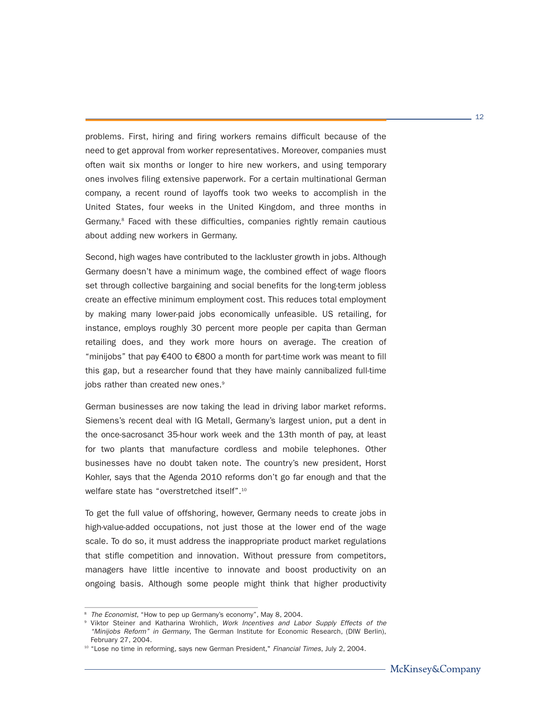problems. First, hiring and firing workers remains difficult because of the need to get approval from worker representatives. Moreover, companies must often wait six months or longer to hire new workers, and using temporary ones involves filing extensive paperwork. For a certain multinational German company, a recent round of layoffs took two weeks to accomplish in the United States, four weeks in the United Kingdom, and three months in Germany.<sup>8</sup> Faced with these difficulties, companies rightly remain cautious about adding new workers in Germany.

Second, high wages have contributed to the lackluster growth in jobs. Although Germany doesn't have a minimum wage, the combined effect of wage floors set through collective bargaining and social benefits for the long-term jobless create an effective minimum employment cost. This reduces total employment by making many lower-paid jobs economically unfeasible. US retailing, for instance, employs roughly 30 percent more people per capita than German retailing does, and they work more hours on average. The creation of "minijobs" that pay  $\epsilon$ 400 to  $\epsilon$ 800 a month for part-time work was meant to fill this gap, but a researcher found that they have mainly cannibalized full-time jobs rather than created new ones.<sup>9</sup>

German businesses are now taking the lead in driving labor market reforms. Siemens's recent deal with IG Metall, Germany's largest union, put a dent in the once-sacrosanct 35-hour work week and the 13th month of pay, at least for two plants that manufacture cordless and mobile telephones. Other businesses have no doubt taken note. The country's new president, Horst Kohler, says that the Agenda 2010 reforms don't go far enough and that the welfare state has "overstretched itself".<sup>10</sup>

To get the full value of offshoring, however, Germany needs to create jobs in high-value-added occupations, not just those at the lower end of the wage scale. To do so, it must address the inappropriate product market regulations that stifle competition and innovation. Without pressure from competitors, managers have little incentive to innovate and boost productivity on an ongoing basis. Although some people might think that higher productivity

<sup>&</sup>lt;sup>8</sup> The Economist, "How to pep up Germany's economy", May 8, 2004.

<sup>&</sup>lt;sup>9</sup> Viktor Steiner and Katharina Wrohlich, Work Incentives and Labor Supply Effects of the "Minijobs Reform" in Germany, The German Institute for Economic Research, (DIW Berlin), February 27, 2004.

<sup>&</sup>lt;sup>10</sup> "Lose no time in reforming, says new German President," Financial Times, July 2, 2004.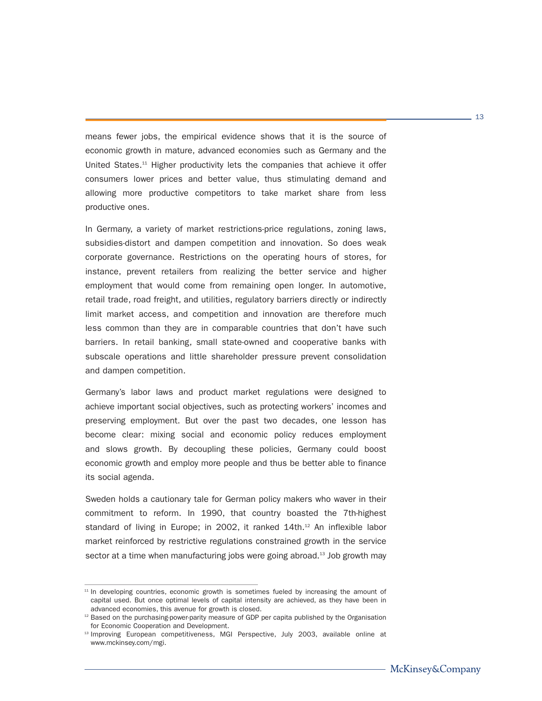means fewer jobs, the empirical evidence shows that it is the source of economic growth in mature, advanced economies such as Germany and the United States.<sup>11</sup> Higher productivity lets the companies that achieve it offer consumers lower prices and better value, thus stimulating demand and allowing more productive competitors to take market share from less productive ones.

In Germany, a variety of market restrictions-price regulations, zoning laws, subsidies-distort and dampen competition and innovation. So does weak corporate governance. Restrictions on the operating hours of stores, for instance, prevent retailers from realizing the better service and higher employment that would come from remaining open longer. In automotive, retail trade, road freight, and utilities, regulatory barriers directly or indirectly limit market access, and competition and innovation are therefore much less common than they are in comparable countries that don't have such barriers. In retail banking, small state-owned and cooperative banks with subscale operations and little shareholder pressure prevent consolidation and dampen competition.

Germany's labor laws and product market regulations were designed to achieve important social objectives, such as protecting workers' incomes and preserving employment. But over the past two decades, one lesson has become clear: mixing social and economic policy reduces employment and slows growth. By decoupling these policies, Germany could boost economic growth and employ more people and thus be better able to finance its social agenda.

Sweden holds a cautionary tale for German policy makers who waver in their commitment to reform. In 1990, that country boasted the 7th-highest standard of living in Europe; in 2002, it ranked 14th.<sup>12</sup> An inflexible labor market reinforced by restrictive regulations constrained growth in the service sector at a time when manufacturing jobs were going abroad.<sup>13</sup> Job growth may

 $-13$ 

 $11$  In developing countries, economic growth is sometimes fueled by increasing the amount of capital used. But once optimal levels of capital intensity are achieved, as they have been in advanced economies, this avenue for growth is closed.

<sup>&</sup>lt;sup>12</sup> Based on the purchasing-power-parity measure of GDP per capita published by the Organisation for Economic Cooperation and Development.

<sup>&</sup>lt;sup>13</sup> Improving European competitiveness, MGI Perspective, July 2003, available online at www.mckinsey.com/mgi.